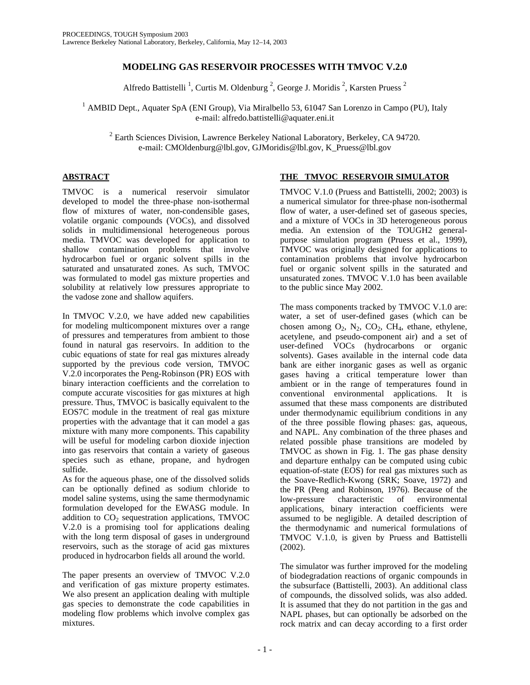# **MODELING GAS RESERVOIR PROCESSES WITH TMVOC V.2.0**

Alfredo Battistelli<sup>1</sup>, Curtis M. Oldenburg<sup>2</sup>, George J. Moridis<sup>2</sup>, Karsten Pruess<sup>2</sup>

<sup>1</sup> AMBID Dept., Aquater SpA (ENI Group), Via Miralbello 53, 61047 San Lorenzo in Campo (PU), Italy e-mail: alfredo.battistelli@aquater.eni.it

 $2$  Earth Sciences Division, Lawrence Berkeley National Laboratory, Berkeley, CA 94720. e-mail: CMOldenburg@lbl.gov, GJMoridis@lbl.gov, K\_Pruess@lbl.gov

# **ABSTRACT**

TMVOC is a numerical reservoir simulator developed to model the three-phase non-isothermal flow of mixtures of water, non-condensible gases, volatile organic compounds (VOCs), and dissolved solids in multidimensional heterogeneous porous media. TMVOC was developed for application to shallow contamination problems that involve hydrocarbon fuel or organic solvent spills in the saturated and unsaturated zones. As such, TMVOC was formulated to model gas mixture properties and solubility at relatively low pressures appropriate to the vadose zone and shallow aquifers.

In TMVOC V.2.0, we have added new capabilities for modeling multicomponent mixtures over a range of pressures and temperatures from ambient to those found in natural gas reservoirs. In addition to the cubic equations of state for real gas mixtures already supported by the previous code version, TMVOC V.2.0 incorporates the Peng-Robinson (PR) EOS with binary interaction coefficients and the correlation to compute accurate viscosities for gas mixtures at high pressure. Thus, TMVOC is basically equivalent to the EOS7C module in the treatment of real gas mixture properties with the advantage that it can model a gas mixture with many more components. This capability will be useful for modeling carbon dioxide injection into gas reservoirs that contain a variety of gaseous species such as ethane, propane, and hydrogen sulfide.

As for the aqueous phase, one of the dissolved solids can be optionally defined as sodium chloride to model saline systems, using the same thermodynamic formulation developed for the EWASG module. In addition to  $CO<sub>2</sub>$  sequestration applications, TMVOC V.2.0 is a promising tool for applications dealing with the long term disposal of gases in underground reservoirs, such as the storage of acid gas mixtures produced in hydrocarbon fields all around the world.

The paper presents an overview of TMVOC V.2.0 and verification of gas mixture property estimates. We also present an application dealing with multiple gas species to demonstrate the code capabilities in modeling flow problems which involve complex gas mixtures.

## **THE TMVOC RESERVOIR SIMULATOR**

TMVOC V.1.0 (Pruess and Battistelli, 2002; 2003) is a numerical simulator for three-phase non-isothermal flow of water, a user-defined set of gaseous species, and a mixture of VOCs in 3D heterogeneous porous media. An extension of the TOUGH2 generalpurpose simulation program (Pruess et al., 1999), TMVOC was originally designed for applications to contamination problems that involve hydrocarbon fuel or organic solvent spills in the saturated and unsaturated zones. TMVOC V.1.0 has been available to the public since May 2002.

The mass components tracked by TMVOC V.1.0 are: water, a set of user-defined gases (which can be chosen among  $O_2$ ,  $N_2$ ,  $CO_2$ ,  $CH_4$ , ethane, ethylene, acetylene, and pseudo-component air) and a set of user-defined VOCs (hydrocarbons or organic solvents). Gases available in the internal code data bank are either inorganic gases as well as organic gases having a critical temperature lower than ambient or in the range of temperatures found in conventional environmental applications. It is assumed that these mass components are distributed under thermodynamic equilibrium conditions in any of the three possible flowing phases: gas, aqueous, and NAPL. Any combination of the three phases and related possible phase transitions are modeled by TMVOC as shown in Fig. 1. The gas phase density and departure enthalpy can be computed using cubic equation-of-state (EOS) for real gas mixtures such as the Soave-Redlich-Kwong (SRK; Soave, 1972) and the PR (Peng and Robinson, 1976). Because of the low-pressure characteristic of environmental applications, binary interaction coefficients were assumed to be negligible. A detailed description of the thermodynamic and numerical formulations of TMVOC V.1.0, is given by Pruess and Battistelli (2002).

The simulator was further improved for the modeling of biodegradation reactions of organic compounds in the subsurface (Battistelli, 2003). An additional class of compounds, the dissolved solids, was also added. It is assumed that they do not partition in the gas and NAPL phases, but can optionally be adsorbed on the rock matrix and can decay according to a first order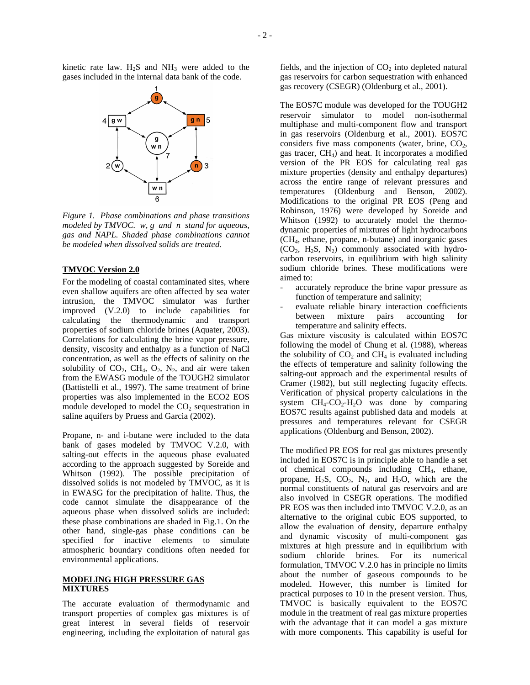kinetic rate law.  $H_2S$  and  $NH_3$  were added to the gases included in the internal data bank of the code.



*Figure 1. Phase combinations and phase transitions modeled by TMVOC. w, g and n stand for aqueous, gas and NAPL. Shaded phase combinations cannot be modeled when dissolved solids are treated.*

#### **TMVOC Version 2.0**

For the modeling of coastal contaminated sites, where even shallow aquifers are often affected by sea water intrusion, the TMVOC simulator was further improved (V.2.0) to include capabilities for calculating the thermodynamic and transport properties of sodium chloride brines (Aquater, 2003). Correlations for calculating the brine vapor pressure, density, viscosity and enthalpy as a function of NaCl concentration, as well as the effects of salinity on the solubility of  $CO_2$ ,  $CH_4$ ,  $O_2$ ,  $N_2$ , and air were taken from the EWASG module of the TOUGH2 simulator (Battistelli et al., 1997). The same treatment of brine properties was also implemented in the ECO2 EOS module developed to model the  $CO<sub>2</sub>$  sequestration in saline aquifers by Pruess and Garcia (2002).

Propane, n- and i-butane were included to the data bank of gases modeled by TMVOC V.2.0, with salting-out effects in the aqueous phase evaluated according to the approach suggested by Soreide and Whitson (1992). The possible precipitation of dissolved solids is not modeled by TMVOC, as it is in EWASG for the precipitation of halite. Thus, the code cannot simulate the disappearance of the aqueous phase when dissolved solids are included: these phase combinations are shaded in Fig.1. On the other hand, single-gas phase conditions can be specified for inactive elements to simulate atmospheric boundary conditions often needed for environmental applications.

#### **MODELING HIGH PRESSURE GAS MIXTURES**

The accurate evaluation of thermodynamic and transport properties of complex gas mixtures is of great interest in several fields of reservoir engineering, including the exploitation of natural gas fields, and the injection of  $CO<sub>2</sub>$  into depleted natural gas reservoirs for carbon sequestration with enhanced gas recovery (CSEGR) (Oldenburg et al., 2001).

The EOS7C module was developed for the TOUGH2 reservoir simulator to model non-isothermal multiphase and multi-component flow and transport in gas reservoirs (Oldenburg et al., 2001). EOS7C considers five mass components (water, brine,  $CO<sub>2</sub>$ , gas tracer,  $CH<sub>4</sub>$ ) and heat. It incorporates a modified version of the PR EOS for calculating real gas mixture properties (density and enthalpy departures) across the entire range of relevant pressures and temperatures (Oldenburg and Benson, 2002). Modifications to the original PR EOS (Peng and Robinson, 1976) were developed by Soreide and Whitson (1992) to accurately model the thermodynamic properties of mixtures of light hydrocarbons  $(CH<sub>4</sub>, ethane, propane, n-butane)$  and inorganic gases  $(CO<sub>2</sub>, H<sub>2</sub>S, N<sub>2</sub>)$  commonly associated with hydrocarbon reservoirs, in equilibrium with high salinity sodium chloride brines. These modifications were aimed to:

- accurately reproduce the brine vapor pressure as function of temperature and salinity;
- evaluate reliable binary interaction coefficients between mixture pairs accounting for temperature and salinity effects.

Gas mixture viscosity is calculated within EOS7C following the model of Chung et al. (1988), whereas the solubility of  $CO<sub>2</sub>$  and  $CH<sub>4</sub>$  is evaluated including the effects of temperature and salinity following the salting-out approach and the experimental results of Cramer (1982), but still neglecting fugacity effects. Verification of physical property calculations in the system  $CH_4$ - $CO_2$ - $H_2O$  was done by comparing EOS7C results against published data and models at pressures and temperatures relevant for CSEGR applications (Oldenburg and Benson, 2002).

The modified PR EOS for real gas mixtures presently included in EOS7C is in principle able to handle a set of chemical compounds including CH4, ethane, propane,  $H_2S$ ,  $CO_2$ ,  $N_2$ , and  $H_2O$ , which are the normal constituents of natural gas reservoirs and are also involved in CSEGR operations. The modified PR EOS was then included into TMVOC V.2.0, as an alternative to the original cubic EOS supported, to allow the evaluation of density, departure enthalpy and dynamic viscosity of multi-component gas mixtures at high pressure and in equilibrium with sodium chloride brines. For its numerical formulation, TMVOC V.2.0 has in principle no limits about the number of gaseous compounds to be modeled. However, this number is limited for practical purposes to 10 in the present version. Thus, TMVOC is basically equivalent to the EOS7C module in the treatment of real gas mixture properties with the advantage that it can model a gas mixture with more components. This capability is useful for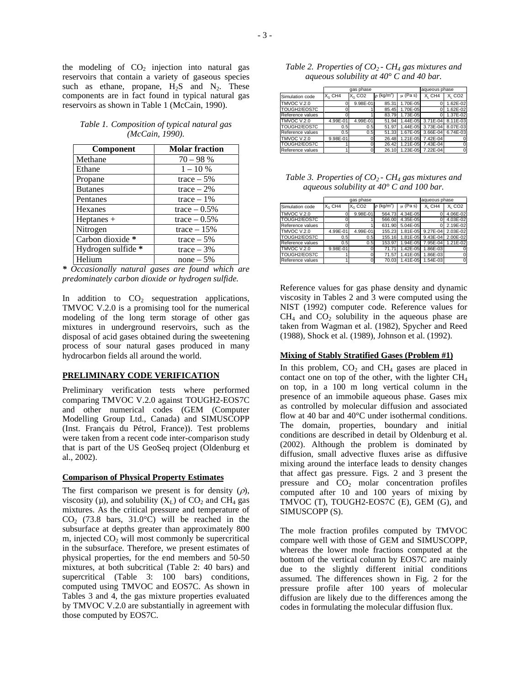the modeling of  $CO<sub>2</sub>$  injection into natural gas reservoirs that contain a variety of gaseous species such as ethane, propane,  $H_2S$  and  $N_2$ . These components are in fact found in typical natural gas reservoirs as shown in Table 1 (McCain, 1990).

*Table 1. Composition of typical natural gas (McCain, 1990).*

| Component          | <b>Molar fraction</b> |
|--------------------|-----------------------|
| Methane            | $70 - 98 %$           |
| Ethane             | $1 - 10\%$            |
| Propane            | trace $-5\%$          |
| <b>Butanes</b>     | $trace - 2\%$         |
| Pentanes           | trace $-1\%$          |
| Hexanes            | $trace - 0.5%$        |
| Heptanes $+$       | trace $-0.5\%$        |
| Nitrogen           | trace $-15%$          |
| Carbon dioxide *   | trace $-5\%$          |
| Hydrogen sulfide * | trace $-3%$           |
| Helium             | $none - 5\%$          |

*\* Occasionally natural gases are found which are predominately carbon dioxide or hydrogen sulfide.*

In addition to  $CO<sub>2</sub>$  sequestration applications, TMVOC V.2.0 is a promising tool for the numerical modeling of the long term storage of other gas mixtures in underground reservoirs, such as the disposal of acid gases obtained during the sweetening process of sour natural gases produced in many hydrocarbon fields all around the world.

#### **PRELIMINARY CODE VERIFICATION**

Preliminary verification tests where performed comparing TMVOC V.2.0 against TOUGH2-EOS7C and other numerical codes (GEM (Computer Modelling Group Ltd., Canada) and SIMUSCOPP (Inst. Français du Pétrol, France)). Test problems were taken from a recent code inter-comparison study that is part of the US GeoSeq project (Oldenburg et al., 2002).

#### **Comparison of Physical Property Estimates**

The first comparison we present is for density  $(\rho)$ , viscosity ( $\mu$ ), and solubility ( $X_L$ ) of CO<sub>2</sub> and CH<sub>4</sub> gas mixtures. As the critical pressure and temperature of  $CO<sub>2</sub>$  (73.8 bars, 31.0°C) will be reached in the subsurface at depths greater than approximately 800 m, injected  $CO<sub>2</sub>$  will most commonly be supercritical in the subsurface. Therefore, we present estimates of physical properties, for the end members and 50-50 mixtures, at both subcritical (Table 2: 40 bars) and supercritical (Table 3: 100 bars) conditions, computed using TMVOC and EOS7C. As shown in Tables 3 and 4, the gas mixture properties evaluated by TMVOC V.2.0 are substantially in agreement with those computed by EOS7C.

| Table 2. Properties of $CO2$ - CH <sub>4</sub> gas mixtures and |  |
|-----------------------------------------------------------------|--|
| aqueous solubility at $40^{\circ}$ C and 40 bar.                |  |

|                    |           | gas phase            |                             |             | aqueous phase                  |                                |
|--------------------|-----------|----------------------|-----------------------------|-------------|--------------------------------|--------------------------------|
| Simulation code    | $X_G$ CH4 | $X0$ CO <sub>2</sub> | $\rho$ (kg/m <sup>3</sup> ) | $\mu$ (Pas) | X <sub>L</sub> CH <sub>4</sub> | X <sub>I</sub> CO <sub>2</sub> |
| <b>TMVOC V.2.0</b> |           | 9.98E-01             | 85.31                       | 1.70E-05    |                                | 1.62E-02                       |
| TOUGH2/EOS7C       |           |                      | 85.45                       | 1.70E-05    | 0                              | 1.62E-02                       |
| Reference values   |           |                      | 83.79                       | 1.73E-05    |                                | 1.37E-02                       |
| TMVOC V.2.0        | 4.99E-01  | 4.99E-01             | 51.94                       | 1.44E-05    | 3.71E-04                       | 8.11E-03                       |
| TOUGH2/EOS7C       | 0.5       | 0.5                  | 51.97                       | 1.44E-05    | 3.73E-04                       | 8.07E-03                       |
| Reference values   | 0.5       | 0.5                  | 51.33                       | 1.67E-05    | 3.66E-04                       | 6.74E-03                       |
| TMVOC V.2.0        | 9.98E-01  |                      | 26.48                       | 1.21E-05    | 7.42E-04                       |                                |
| TOUGH2/EOS7C       |           |                      | 26.42                       | 1.21E-05    | 7.43E-04                       |                                |
| Reference values   |           |                      | 26.10                       |             | 1.23E-05 7.22E-04              | 0                              |

*Table 3. Properties of CO<sup>2</sup> - CH<sup>4</sup> gas mixtures and aqueous solubility at 40° C and 100 bar.*

|                    |           | gas phase            |                             |             | aqueous phase                  |                                |
|--------------------|-----------|----------------------|-----------------------------|-------------|--------------------------------|--------------------------------|
| Simulation code    | $X_G$ CH4 | $X0$ CO <sub>2</sub> | $\rho$ (kg/m <sup>3</sup> ) | $\mu$ (Pas) | X <sub>I</sub> CH <sub>4</sub> | X <sub>1</sub> CO <sub>2</sub> |
| <b>TMVOC V.2.0</b> |           | 9.98E-01             | 564.73                      | 4.34E-05    | 0                              | 4.06E-02                       |
| TOUGH2/EOS7C       |           |                      | 566.00                      | 4.35E-05    | 0                              | 4.03E-02                       |
| Reference values   |           |                      | 631.90                      | 5.04E-05    | 0                              | 2.19E-02                       |
| TMVOC V.2.0        | 4.99E-01  | 4.99E-01             | 155.23                      | 1.81E-05    | $9.27E - 04$                   | 2.03E-02                       |
| TOUGH2/EOS7C       | 0.5       | 0.5                  | 155.16                      | 1.81E-05    | 9.43E-04                       | 2.00E-02                       |
| Reference values   | 0.5       | 0.5                  | 153.97                      | 1.94E-05    | 7.95E-04                       | 1.21E-02                       |
| TMVOC V.2.0        | 9.98E-01  |                      | 71.71                       | 1.42E-05    | 1.86E-03                       |                                |
| TOUGH2/EOS7C       |           |                      | 71.57                       | 1.41E-05    | 1.86E-03                       |                                |
| Reference values   |           |                      | 70.03                       | 1.41E-05    | 1.54E-03                       | $\Omega$                       |

Reference values for gas phase density and dynamic viscosity in Tables 2 and 3 were computed using the NIST (1992) computer code. Reference values for  $CH<sub>4</sub>$  and  $CO<sub>2</sub>$  solubility in the aqueous phase are taken from Wagman et al. (1982), Spycher and Reed (1988), Shock et al. (1989), Johnson et al. (1992).

### **Mixing of Stably Stratified Gases (Problem #1)**

In this problem,  $CO<sub>2</sub>$  and  $CH<sub>4</sub>$  gases are placed in contact one on top of the other, with the lighter  $CH<sub>4</sub>$ on top, in a 100 m long vertical column in the presence of an immobile aqueous phase. Gases mix as controlled by molecular diffusion and associated flow at 40 bar and 40°C under isothermal conditions. The domain, properties, boundary and initial conditions are described in detail by Oldenburg et al. (2002). Although the problem is dominated by diffusion, small advective fluxes arise as diffusive mixing around the interface leads to density changes that affect gas pressure. Figs. 2 and 3 present the pressure and  $CO<sub>2</sub>$  molar concentration profiles computed after 10 and 100 years of mixing by TMVOC (T), TOUGH2-EOS7C (E), GEM (G), and SIMUSCOPP (S).

The mole fraction profiles computed by TMVOC compare well with those of GEM and SIMUSCOPP, whereas the lower mole fractions computed at the bottom of the vertical column by EOS7C are mainly due to the slightly different initial conditions assumed. The differences shown in Fig. 2 for the pressure profile after 100 years of molecular diffusion are likely due to the differences among the codes in formulating the molecular diffusion flux.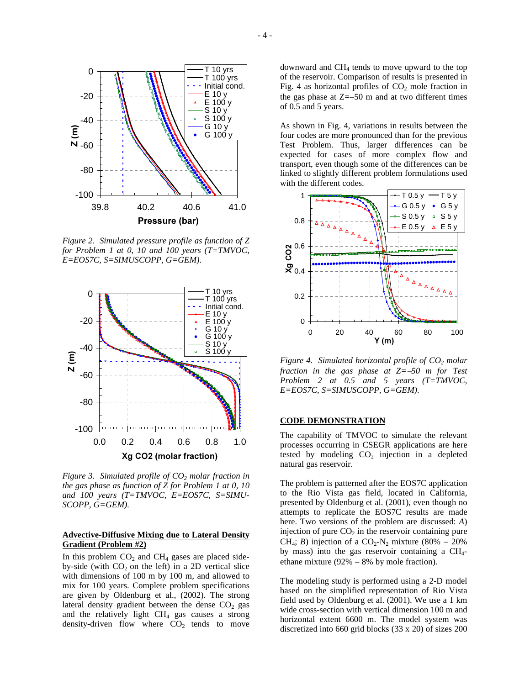

*Figure 2. Simulated pressure profile as function of Z for Problem 1 at 0, 10 and 100 years (T=TMVOC, E=EOS7C, S=SIMUSCOPP, G=GEM).*



*Figure 3. Simulated profile of CO<sup>2</sup> molar fraction in the gas phase as function of Z for Problem 1 at 0, 10 and 100 years (T=TMVOC, E=EOS7C, S=SIMU-SCOPP, G=GEM).*

### **Advective-Diffusive Mixing due to Lateral Density Gradient (Problem #2)**

In this problem  $CO<sub>2</sub>$  and  $CH<sub>4</sub>$  gases are placed sideby-side (with  $CO<sub>2</sub>$  on the left) in a 2D vertical slice with dimensions of 100 m by 100 m, and allowed to mix for 100 years. Complete problem specifications are given by Oldenburg et al., (2002). The strong lateral density gradient between the dense  $CO<sub>2</sub>$  gas and the relatively light  $CH<sub>4</sub>$  gas causes a strong density-driven flow where  $CO<sub>2</sub>$  tends to move downward and  $CH<sub>4</sub>$  tends to move upward to the top of the reservoir. Comparison of results is presented in Fig. 4 as horizontal profiles of  $CO<sub>2</sub>$  mole fraction in the gas phase at  $Z=-50$  m and at two different times of 0.5 and 5 years.

As shown in Fig. 4, variations in results between the four codes are more pronounced than for the previous Test Problem. Thus, larger differences can be expected for cases of more complex flow and transport, even though some of the differences can be linked to slightly different problem formulations used with the different codes.



*Figure 4. Simulated horizontal profile of CO<sup>2</sup> molar fraction in the gas phase at Z=*-*50 m for Test Problem 2 at 0.5 and 5 years (T=TMVOC, E=EOS7C, S=SIMUSCOPP, G=GEM).*

#### **CODE DEMONSTRATION**

The capability of TMVOC to simulate the relevant processes occurring in CSEGR applications are here tested by modeling  $CO<sub>2</sub>$  injection in a depleted natural gas reservoir.

The problem is patterned after the EOS7C application to the Rio Vista gas field, located in California, presented by Oldenburg et al. (2001), even though no attempts to replicate the EOS7C results are made here. Two versions of the problem are discussed: *A*) injection of pure  $CO<sub>2</sub>$  in the reservoir containing pure CH<sub>4</sub>; *B*) injection of a CO<sub>2</sub>-N<sub>2</sub> mixture (80% - 20%) by mass) into the gas reservoir containing a  $CH<sub>4</sub>$ ethane mixture (92% - 8% by mole fraction).

The modeling study is performed using a 2-D model based on the simplified representation of Rio Vista field used by Oldenburg et al. (2001). We use a 1 km wide cross-section with vertical dimension 100 m and horizontal extent 6600 m. The model system was discretized into 660 grid blocks (33 x 20) of sizes 200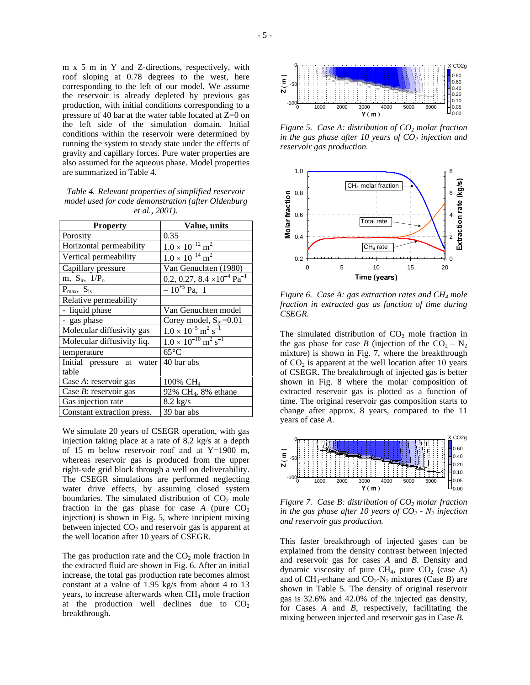m x 5 m in Y and Z-directions, respectively, with roof sloping at 0.78 degrees to the west, here corresponding to the left of our model. We assume the reservoir is already depleted by previous gas production, with initial conditions corresponding to a pressure of 40 bar at the water table located at Z=0 on the left side of the simulation domain. Initial conditions within the reservoir were determined by running the system to steady state under the effects of gravity and capillary forces. Pure water properties are also assumed for the aqueous phase. Model properties are summarized in Table 4.

*Table 4. Relevant properties of simplified reservoir model used for code demonstration (after Oldenburg et al., 2001).*

| <b>Property</b>                    | Value, units                                              |  |  |
|------------------------------------|-----------------------------------------------------------|--|--|
| Porosity                           | 0.35                                                      |  |  |
| Horizontal permeability            | $1.0 \times 10^{-12}$ m <sup>2</sup>                      |  |  |
| Vertical permeability              | $1.0 \times 10^{-14}$ m <sup>2</sup>                      |  |  |
| Capillary pressure                 | Van Genuchten (1980)                                      |  |  |
| m, $S_{lr}$ , $1/P_o$              | 0.2, 0.27, 8.4 $\times$ 10 <sup>-4</sup> Pa <sup>-1</sup> |  |  |
| $P_{\text{max}}$ , $S_{\text{ls}}$ | $-10^{+5}$ Pa, 1                                          |  |  |
| Relative permeability              |                                                           |  |  |
| - liquid phase                     | Van Genuchten model                                       |  |  |
| - gas phase                        | Corey model, $S_{gr}=0.01$                                |  |  |
| Molecular diffusivity gas          | $1.0 \times 10^{-5}$ m <sup>2</sup> s                     |  |  |
| Molecular diffusivity liq.         | $1.0 \times 10^{-10}$ m <sup>2</sup> s <sup>-1</sup>      |  |  |
| temperature                        | $65^{\circ}$ C                                            |  |  |
| Initial pressure at water          | 40 bar abs                                                |  |  |
| table                              |                                                           |  |  |
| Case A: reservoir gas              | 100% $CH_4$                                               |  |  |
| Case $B$ : reservoir gas           | 92% CH <sub>4</sub> , 8% ethane                           |  |  |
| Gas injection rate                 | $8.2 \text{ kg/s}$                                        |  |  |
| Constant extraction press.         | 39 bar abs                                                |  |  |

We simulate 20 years of CSEGR operation, with gas injection taking place at a rate of 8.2 kg/s at a depth of 15 m below reservoir roof and at Y=1900 m, whereas reservoir gas is produced from the upper right-side grid block through a well on deliverability. The CSEGR simulations are performed neglecting water drive effects, by assuming closed system boundaries. The simulated distribution of  $CO<sub>2</sub>$  mole fraction in the gas phase for case  $A$  (pure  $CO<sub>2</sub>$ injection) is shown in Fig. 5, where incipient mixing between injected  $CO<sub>2</sub>$  and reservoir gas is apparent at the well location after 10 years of CSEGR.

The gas production rate and the  $CO<sub>2</sub>$  mole fraction in the extracted fluid are shown in Fig. 6. After an initial increase, the total gas production rate becomes almost constant at a value of 1.95 kg/s from about 4 to 13 years, to increase afterwards when CH<sub>4</sub> mole fraction at the production well declines due to  $CO<sub>2</sub>$ breakthrough.



*Figure 5. Case A: distribution of CO<sup>2</sup> molar fraction in the gas phase after 10 years of CO<sup>2</sup> injection and reservoir gas production.*



*Figure 6. Case A: gas extraction rates and CH<sup>4</sup> mole fraction in extracted gas as function of time during CSEGR.*

The simulated distribution of  $CO<sub>2</sub>$  mole fraction in the gas phase for case *B* (injection of the  $CO_2 - N_2$ ) mixture) is shown in Fig. 7, where the breakthrough of  $CO<sub>2</sub>$  is apparent at the well location after 10 years of CSEGR. The breakthrough of injected gas is better shown in Fig. 8 where the molar composition of extracted reservoir gas is plotted as a function of time. The original reservoir gas composition starts to change after approx. 8 years, compared to the 11 years of case *A*.



*Figure 7. Case B: distribution of CO<sup>2</sup> molar fraction in the gas phase after 10 years of CO<sup>2</sup> - N<sup>2</sup> injection and reservoir gas production.*

This faster breakthrough of injected gases can be explained from the density contrast between injected and reservoir gas for cases *A* and *B*. Density and dynamic viscosity of pure  $CH_4$ , pure  $CO_2$  (case *A*) and of  $CH_4$ -ethane and  $CO_2$ -N<sub>2</sub> mixtures (Case *B*) are shown in Table 5. The density of original reservoir gas is 32.6% and 42.0% of the injected gas density, for Cases *A* and *B*, respectively, facilitating the mixing between injected and reservoir gas in Case *B*.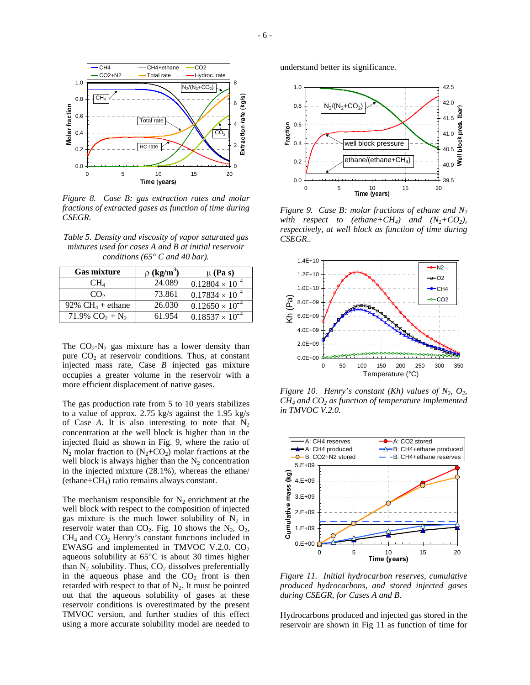

*Figure 8. Case B: gas extraction rates and molar fractions of extracted gases as function of time during CSEGR.*

*Table 5. Density and viscosity of vapor saturated gas mixtures used for cases A and B at initial reservoir conditions (65° C and 40 bar).*

| <b>Gas mixture</b>           | $\rho$ (kg/m <sup>3</sup> ) | $\mu$ (Pa s)             |
|------------------------------|-----------------------------|--------------------------|
| CH <sub>4</sub>              | 24.089                      | $0.12804 \times 10^{-4}$ |
| CO <sub>2</sub>              | 73.861                      | $0.17834 \times 10^{-4}$ |
| 92% CH <sub>4</sub> + ethane | 26.030                      | $0.12650 \times 10^{-4}$ |
| 71.9% $CO_2 + N_2$           | 61.954                      | $0.18537 \times 10^{-4}$ |

The  $CO_2-N_2$  gas mixture has a lower density than pure  $CO<sub>2</sub>$  at reservoir conditions. Thus, at constant injected mass rate, Case *B* injected gas mixture occupies a greater volume in the reservoir with a more efficient displacement of native gases.

The gas production rate from 5 to 10 years stabilizes to a value of approx. 2.75 kg/s against the 1.95 kg/s of Case *A*. It is also interesting to note that  $N_2$ concentration at the well block is higher than in the injected fluid as shown in Fig. 9, where the ratio of  $N_2$  molar fraction to  $(N_2+C_2)$  molar fractions at the well block is always higher than the  $N_2$  concentration in the injected mixture (28.1%), whereas the ethane/  $(ethane+CH<sub>4</sub>)$  ratio remains always constant.

The mechanism responsible for  $N_2$  enrichment at the well block with respect to the composition of injected gas mixture is the much lower solubility of  $N_2$  in reservoir water than  $CO_2$ . Fig. 10 shows the  $N_2$ ,  $O_2$ ,  $CH<sub>4</sub>$  and  $CO<sub>2</sub>$  Henry's constant functions included in EWASG and implemented in TMVOC V.2.0.  $CO<sub>2</sub>$ aqueous solubility at 65°C is about 30 times higher than  $N_2$  solubility. Thus,  $CO_2$  dissolves preferentially in the aqueous phase and the  $CO<sub>2</sub>$  front is then retarded with respect to that of  $N_2$ . It must be pointed out that the aqueous solubility of gases at these reservoir conditions is overestimated by the present TMVOC version, and further studies of this effect using a more accurate solubility model are needed to understand better its significance.



*Figure 9. Case B: molar fractions of ethane and N<sup>2</sup> with respect to* (*ethane*+ $CH_4$ *) and* ( $N_2$ + $CO_2$ *)*, *respectively, at well block as function of time during CSEGR..*



*Figure* 10. *Henry's constant (Kh) values of*  $N_2$ ,  $O_2$ , *CH<sup>4</sup> and CO<sup>2</sup> as function of temperature implemented in TMVOC V.2.0.*



*Figure 11. Initial hydrocarbon reserves, cumulative produced hydrocarbons, and stored injected gases during CSEGR, for Cases A and B.*

Hydrocarbons produced and injected gas stored in the reservoir are shown in Fig 11 as function of time for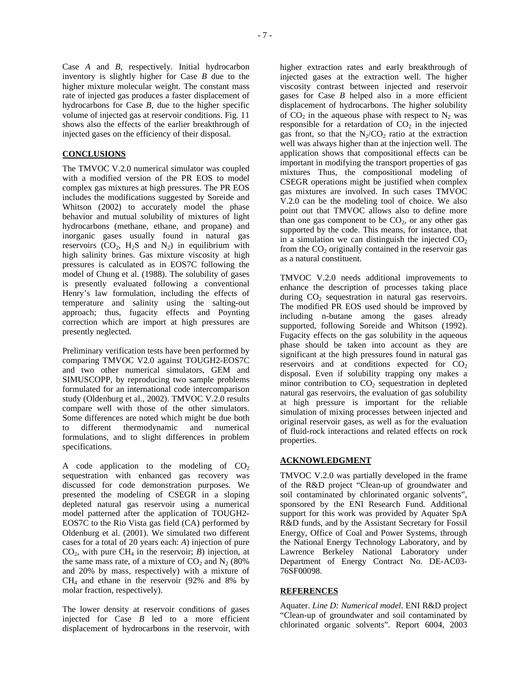Case *A* and *B*, respectively. Initial hydrocarbon inventory is slightly higher for Case *B* due to the higher mixture molecular weight. The constant mass rate of injected gas produces a faster displacement of hydrocarbons for Case *B*, due to the higher specific volume of injected gas at reservoir conditions. Fig. 11 shows also the effects of the earlier breakthrough of injected gases on the efficiency of their disposal.

#### **CONCLUSIONS**

The TMVOC V.2.0 numerical simulator was coupled with a modified version of the PR EOS to model complex gas mixtures at high pressures. The PR EOS includes the modifications suggested by Soreide and Whitson (2002) to accurately model the phase behavior and mutual solubility of mixtures of light hydrocarbons (methane, ethane, and propane) and inorganic gases usually found in natural gas reservoirs  $(CO_2, H_2S$  and  $N_2$ ) in equilibrium with high salinity brines. Gas mixture viscosity at high pressures is calculated as in EOS7C following the model of Chung et al. (1988). The solubility of gases is presently evaluated following a conventional Henry's law formulation, including the effects of temperature and salinity using the salting-out approach; thus, fugacity effects and Poynting correction which are import at high pressures are presently neglected.

Preliminary verification tests have been performed by comparing TMVOC V2.0 against TOUGH2-EOS7C and two other numerical simulators, GEM and SIMUSCOPP, by reproducing two sample problems formulated for an international code intercomparison study (Oldenburg et al., 2002). TMVOC V.2.0 results compare well with those of the other simulators. Some differences are noted which might be due both to different thermodynamic and numerical formulations, and to slight differences in problem specifications.

A code application to the modeling of  $CO<sub>2</sub>$ sequestration with enhanced gas recovery was discussed for code demonstration purposes. We presented the modeling of CSEGR in a sloping depleted natural gas reservoir using a numerical model patterned after the application of TOUGH2- EOS7C to the Rio Vista gas field (CA) performed by Oldenburg et al. (2001). We simulated two different cases for a total of 20 years each: *A*) injection of pure  $CO<sub>2</sub>$ , with pure  $CH<sub>4</sub>$  in the reservoir; *B*) injection, at the same mass rate, of a mixture of  $CO<sub>2</sub>$  and  $N<sub>2</sub>$  (80%) and 20% by mass, respectively) with a mixture of CH<sup>4</sup> and ethane in the reservoir (92% and 8% by molar fraction, respectively).

The lower density at reservoir conditions of gases injected for Case *B* led to a more efficient displacement of hydrocarbons in the reservoir, with

higher extraction rates and early breakthrough of injected gases at the extraction well. The higher viscosity contrast between injected and reservoir gases for Case *B* helped also in a more efficient displacement of hydrocarbons. The higher solubility of  $CO<sub>2</sub>$  in the aqueous phase with respect to  $N<sub>2</sub>$  was responsible for a retardation of  $CO<sub>2</sub>$  in the injected gas front, so that the  $N_2/CO_2$  ratio at the extraction well was always higher than at the injection well. The application shows that compositional effects can be important in modifying the transport properties of gas mixtures Thus, the compositional modeling of CSEGR operations might be justified when complex gas mixtures are involved. In such cases TMVOC V.2.0 can be the modeling tool of choice. We also point out that TMVOC allows also to define more than one gas component to be  $CO<sub>2</sub>$ , or any other gas supported by the code. This means, for instance, that in a simulation we can distinguish the injected  $CO<sub>2</sub>$ from the  $CO<sub>2</sub>$  originally contained in the reservoir gas as a natural constituent.

TMVOC V.2.0 needs additional improvements to enhance the description of processes taking place during  $CO<sub>2</sub>$  sequestration in natural gas reservoirs. The modified PR EOS used should be improved by including n-butane among the gases already supported, following Soreide and Whitson (1992). Fugacity effects on the gas solubility in the aqueous phase should be taken into account as they are significant at the high pressures found in natural gas reservoirs and at conditions expected for  $CO<sub>2</sub>$ disposal. Even if solubility trapping ony makes a minor contribution to  $CO<sub>2</sub>$  sequestration in depleted natural gas reservoirs, the evaluation of gas solubility at high pressure is important for the reliable simulation of mixing processes between injected and original reservoir gases, as well as for the evaluation of fluid-rock interactions and related effects on rock properties.

#### **ACKNOWLEDGMENT**

TMVOC V.2.0 was partially developed in the frame of the R&D project "Clean-up of groundwater and soil contaminated by chlorinated organic solvents", sponsored by the ENI Research Fund. Additional support for this work was provided by Aquater SpA R&D funds, and by the Assistant Secretary for Fossil Energy, Office of Coal and Power Systems, through the National Energy Technology Laboratory, and by Lawrence Berkeley National Laboratory under Department of Energy Contract No. DE-AC03- 76SF00098.

# **REFERENCES**

Aquater. *Line D: Numerical model*. ENI R&D project "Clean-up of groundwater and soil contaminated by chlorinated organic solvents". Report 6004, 2003